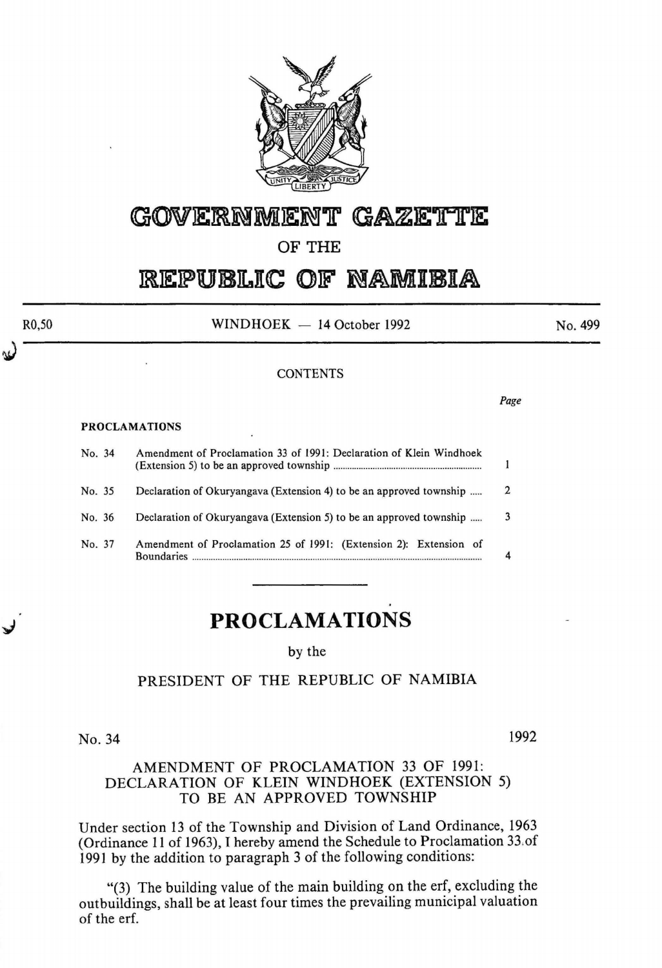

# GOVERNMENT GAZETTE

## **OF THE**

# REPUBLIC OF NAMIBIA

 $WINDHOEK - 14 October 1992$ 

#### **CONTENTS**

*Page* 

#### PROCLAMATIONS

| No. 34           | Amendment of Proclamation 33 of 1991: Declaration of Klein Windhoek                                                                                           |              |
|------------------|---------------------------------------------------------------------------------------------------------------------------------------------------------------|--------------|
| No. 35           | Declaration of Okuryangava (Extension 4) to be an approved township                                                                                           | 2            |
| No. 36<br>No. 37 | Declaration of Okuryangava (Extension 5) to be an approved township<br>Amendment of Proclamation 25 of 1991: (Extension 2): Extension of<br><b>Boundaries</b> | $\mathbf{a}$ |

# **PROCLAMATIONS**

by the

#### PRESIDENT OF THE REPUBLIC OF NAMIBIA

No. 34 1992

#### AMENDMENT OF PROCLAMATION 33 OF 1991: DECLARATION OF KLEIN WINDHOEK (EXTENSION 5) TO BE AN APPROVED TOWNSHIP

Under section 13 of the Township and Division of Land Ordinance, 1963 (Ordinance 11 of 1963), I hereby amend the Schedule to Proclamation 33.of 1991 by the addition to paragraph 3 of the following conditions:

"(3) The building value of the main building on the erf, excluding the outbuildings, shall be at least four times the prevailing municipal valuation of the erf.

RO,SO

No. 499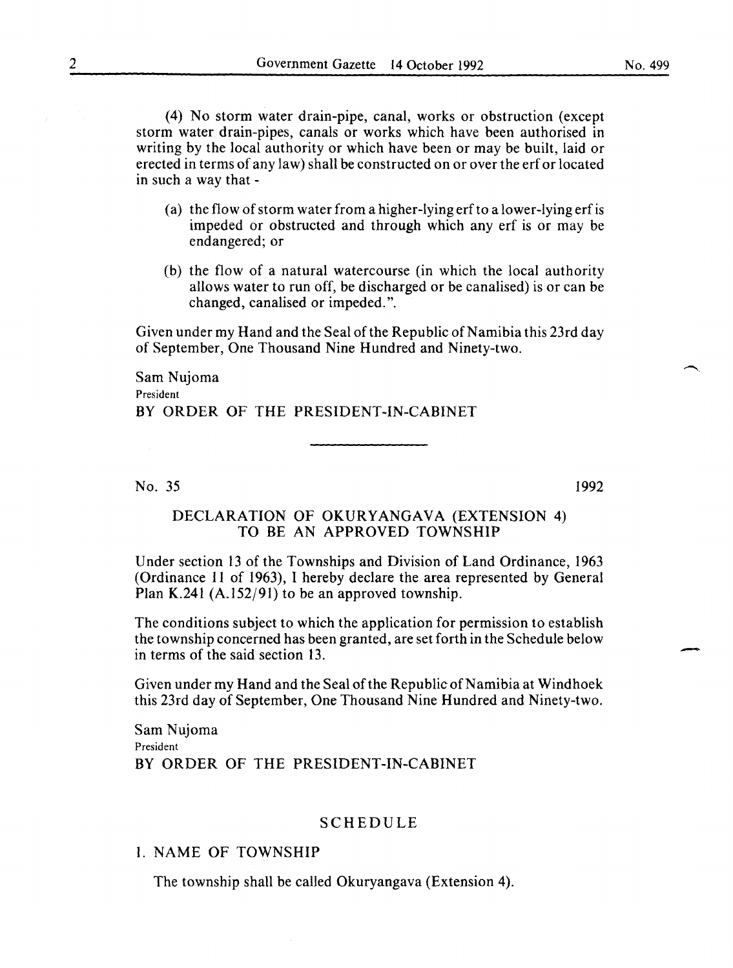(4) No storm water drain-pipe, canal, works or obstruction (except storm water drain-pipes, canals or works which have been authorised in writing by the local authority or which have been or may be built, laid or erected in terms of any law) shall be constructed on or over the erf or located in such a way that -

- (a) the flow of storm water from a higher-lying erf to a lower-lying erf is impeded or obstructed and through which any erf is or may be endangered; or
- (b) the flow of a natural watercourse (in which the local authority allows water to run off, be discharged or be canalised) is or can be changed, canalised or impeded.".

Given under my Hand and the Seal of the Republic of Namibia this 23rd day of September, One Thousand Nine Hundred and Ninety-two.

Sam Nujoma President BY ORDER OF THE PRESIDENT-IN-CABINET

No. 35

1992

-

## DECLARATION OF OKURYANGAVA (EXTENSION 4) TO BE AN APPROVED TOWNSHIP

Under section 13 of the Townships and Division of Land Ordinance, 1963 (Ordinance 11 of 1963), I hereby declare the area represented by General Plan K.241 (A.l52/91) to be an approved township.

The conditions subject to which the application for permission to establish the township concerned has been granted, are set forth in the Schedule below in terms of the said section 13.

Given under my Hand and the Seal of the Republic of Namibia at Windhoek this 23rd day of September, One Thousand Nine Hundred and Ninety-two.

Sam Nujoma President BY ORDER OF THE PRESIDENT-IN-CABINET

#### SCHEDULE

#### I. NAME OF TOWNSHIP

The township shall be called Okuryangava (Extension 4).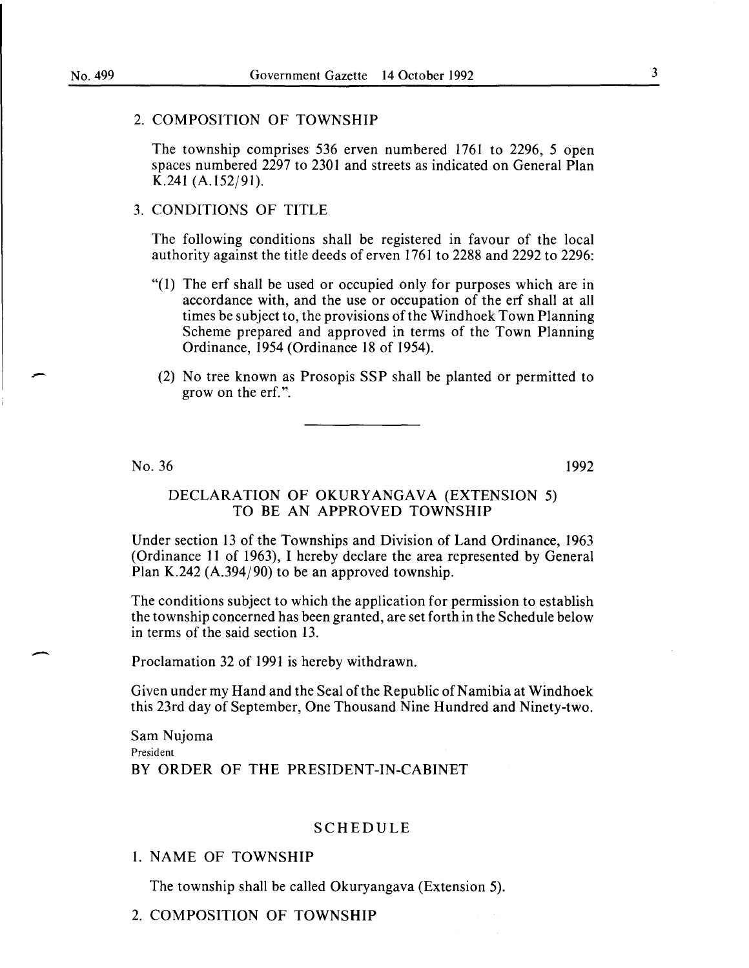#### 2. COMPOSITION OF TOWNSHIP

The township comprises 536 erven numbered 1761 to 2296, 5 open spaces numbered 2297 to 2301 and streets as indicated on General Plan K.241 (A.l52/91).

### 3. CONDITIONS OF TITLE

The following conditions shall be registered in favour of the local authority against the title deeds of erven 1761 to 2288 and 2292 to 2296:

- "(1) The erf shall be used or occupied only for purposes which are in accordance with, and the use or occupation of the erf shall at all times be subject to, the provisions of the Windhoek Town Planning Scheme prepared and approved in terms of the Town Planning Ordinance, 1954 (Ordinance 18 of 1954).
- (2) No tree known as Prosopis SSP shall be planted or permitted to grow on the erf. ".

No. 36

-

1992

#### DECLARATION OF OKURYANGAVA (EXTENSION 5) TO BE AN APPROVED TOWNSHIP

Under section 13 of the Townships and Division of Land Ordinance, 1963 (Ordinance 11 of 1963), I hereby declare the area represented by General Plan K.242 (A.394/90) to be an approved township.

The conditions subject to which the application for permission to establish the township concerned has been granted, are set forth in the Schedule below in terms of the said section 13.

Proclamation 32 of 1991 is hereby withdrawn.

Given under my Hand and the Seal of the Republic of Namibia at Windhoek this 23rd day of September, One Thousand Nine Hundred and Ninety-two.

Sam Nujoma President BY ORDER OF THE PRESIDENT-IN-CABINET

#### SCHEDULE

#### 1. NAME OF TOWNSHIP

The township shall be called Okuryangava (Extension 5).

2. COMPOSITION OF TOWNSHIP